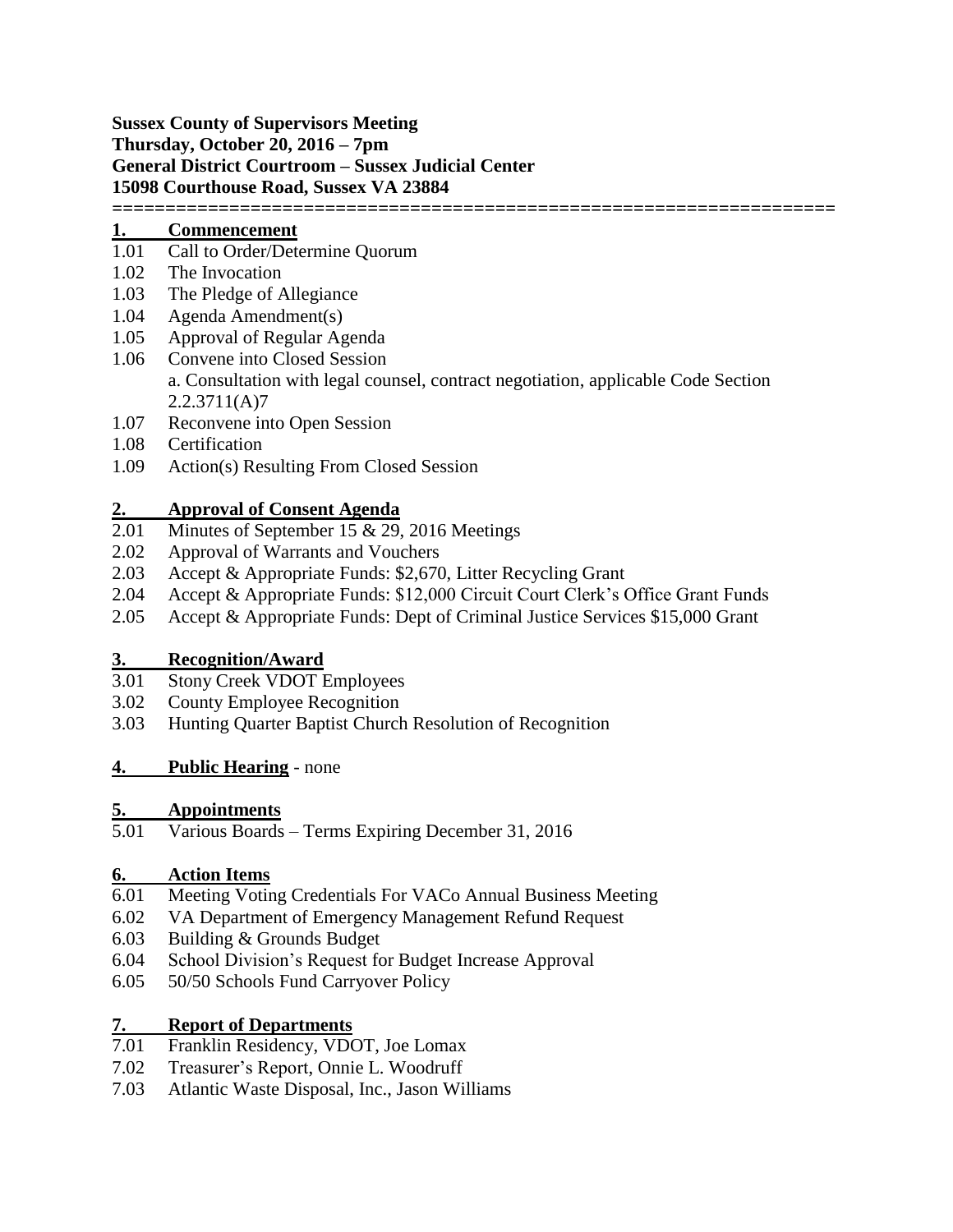**Sussex County of Supervisors Meeting Thursday, October 20, 2016 – 7pm General District Courtroom – Sussex Judicial Center 15098 Courthouse Road, Sussex VA 23884 ====================================================================**

#### **1. Commencement**

- 1.01 Call to Order/Determine Quorum
- 1.02 The Invocation
- 1.03 The Pledge of Allegiance
- 1.04 Agenda Amendment(s)
- 1.05 Approval of Regular Agenda
- 1.06 Convene into Closed Session a. Consultation with legal counsel, contract negotiation, applicable Code Section 2.2.3711(A)7
- 1.07 Reconvene into Open Session
- 1.08 Certification
- 1.09 Action(s) Resulting From Closed Session

- 2. **Approval of Consent Agenda**<br>2.01 Minutes of September 15 & 29, Minutes of September 15  $& 29, 2016$  Meetings
- 2.02 Approval of Warrants and Vouchers
- 2.03 Accept & Appropriate Funds: \$2,670, Litter Recycling Grant
- 2.04 Accept & Appropriate Funds: \$12,000 Circuit Court Clerk's Office Grant Funds
- 2.05 Accept & Appropriate Funds: Dept of Criminal Justice Services \$15,000 Grant

## **3. Recognition/Award**

- 3.01 Stony Creek VDOT Employees
- 3.02 County Employee Recognition
- 3.03 Hunting Quarter Baptist Church Resolution of Recognition

## **4. Public Hearing** - none

## **5. Appointments**

5.01 Various Boards – Terms Expiring December 31, 2016

## **6. Action Items**

- 6.01 Meeting Voting Credentials For VACo Annual Business Meeting
- 6.02 VA Department of Emergency Management Refund Request
- 6.03 Building & Grounds Budget
- 6.04 School Division's Request for Budget Increase Approval
- 6.05 50/50 Schools Fund Carryover Policy

# **7. Report of Departments**

- 7.01 Franklin Residency, VDOT, Joe Lomax
- 7.02 Treasurer's Report, Onnie L. Woodruff
- 7.03 Atlantic Waste Disposal, Inc., Jason Williams